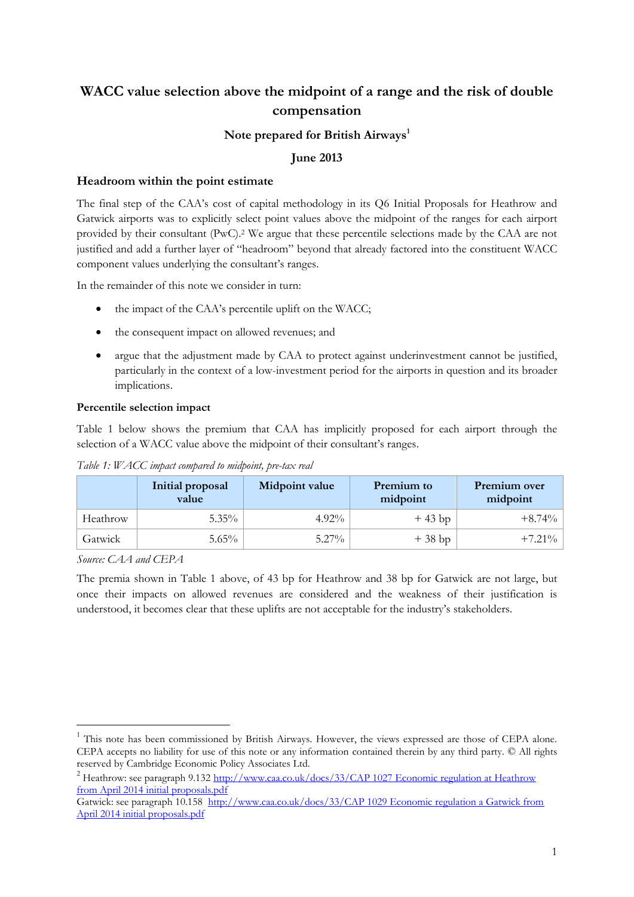## **WACC value selection above the midpoint of a range and the risk of double compensation**

## **Note prepared for British Airways<sup>1</sup>**

## **June 2013**

#### **Headroom within the point estimate**

The final step of the CAA's cost of capital methodology in its Q6 Initial Proposals for Heathrow and Gatwick airports was to explicitly select point values above the midpoint of the ranges for each airport provided by their consultant (PwC). <sup>2</sup> We argue that these percentile selections made by the CAA are not justified and add a further layer of "headroom" beyond that already factored into the constituent WACC component values underlying the consultant's ranges.

In the remainder of this note we consider in turn:

- the impact of the CAA's percentile uplift on the WACC;
- the consequent impact on allowed revenues; and
- argue that the adjustment made by CAA to protect against underinvestment cannot be justified, particularly in the context of a low-investment period for the airports in question and its broader implications.

#### **Percentile selection impact**

Table 1 below shows the premium that CAA has implicitly proposed for each airport through the selection of a WACC value above the midpoint of their consultant's ranges.

|          | Initial proposal<br>value | Midpoint value | <b>Premium</b> to<br>midpoint | Premium over<br>midpoint |
|----------|---------------------------|----------------|-------------------------------|--------------------------|
| Heathrow | $5.35\%$                  | $4.92\%$       | $+43$ bp                      | $+8.74\%$                |
| Gatwick  | $5.65\%$                  | $5.27\%$       | $+38$ bp                      | $+7.21\%$                |

*Table 1: WACC impact compared to midpoint, pre-tax real*

*Source: CAA and CEPA*

-

The premia shown in Table 1 above, of 43 bp for Heathrow and 38 bp for Gatwick are not large, but once their impacts on allowed revenues are considered and the weakness of their justification is understood, it becomes clear that these uplifts are not acceptable for the industry's stakeholders.

<sup>1</sup> This note has been commissioned by British Airways. However, the views expressed are those of CEPA alone. CEPA accepts no liability for use of this note or any information contained therein by any third party. © All rights reserved by Cambridge Economic Policy Associates Ltd.

<sup>&</sup>lt;sup>2</sup> Heathrow: see paragraph 9.132 http://www.caa.co.uk/docs/33/CAP 1027 Economic regulation at Heathrow [from April 2014 initial proposals.pdf](http://www.caa.co.uk/docs/33/CAP%201027%20Economic%20regulation%20at%20Heathrow%20from%20April%202014%20initial%20proposals.pdf)

Gatwick: see paragraph 10.158 [http://www.caa.co.uk/docs/33/CAP 1029 Economic regulation a Gatwick from](http://www.caa.co.uk/docs/33/CAP%201029%20Economic%20regulation%20at%20Gatwick%20from%20April%202014%20initial%20proposals.pdf)  [April 2014 initial proposals.pdf](http://www.caa.co.uk/docs/33/CAP%201029%20Economic%20regulation%20at%20Gatwick%20from%20April%202014%20initial%20proposals.pdf)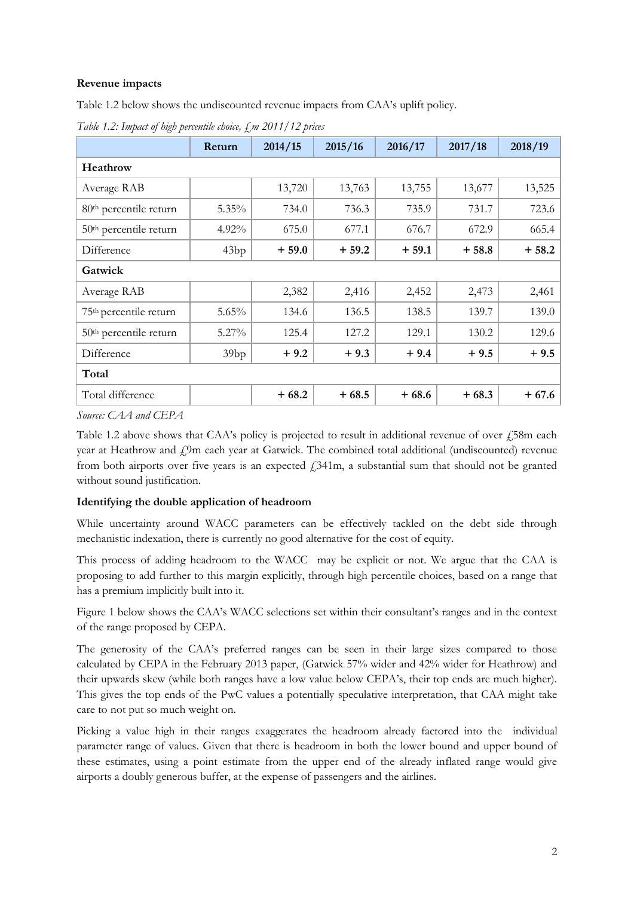### **Revenue impacts**

Table 1.2 below shows the undiscounted revenue impacts from CAA's uplift policy.

*Table 1.2: Impact of high percentile choice, £m 2011/12 prices*

|                                    | Return   | 2014/15 | 2015/16 | 2016/17 | 2017/18 | 2018/19 |  |  |
|------------------------------------|----------|---------|---------|---------|---------|---------|--|--|
| Heathrow                           |          |         |         |         |         |         |  |  |
| Average RAB                        |          | 13,720  | 13,763  | 13,755  | 13,677  | 13,525  |  |  |
| 80 <sup>th</sup> percentile return | $5.35\%$ | 734.0   | 736.3   | 735.9   | 731.7   | 723.6   |  |  |
| $50th$ percentile return           | $4.92\%$ | 675.0   | 677.1   | 676.7   | 672.9   | 665.4   |  |  |
| Difference                         | 43bp     | $+59.0$ | $+59.2$ | $+59.1$ | $+58.8$ | $+58.2$ |  |  |
| Gatwick                            |          |         |         |         |         |         |  |  |
| Average RAB                        |          | 2,382   | 2,416   | 2,452   | 2,473   | 2,461   |  |  |
| 75 <sup>th</sup> percentile return | 5.65%    | 134.6   | 136.5   | 138.5   | 139.7   | 139.0   |  |  |
| 50 <sup>th</sup> percentile return | $5.27\%$ | 125.4   | 127.2   | 129.1   | 130.2   | 129.6   |  |  |
| Difference                         | 39bp     | $+9.2$  | $+9.3$  | $+9.4$  | $+9.5$  | $+9.5$  |  |  |
| Total                              |          |         |         |         |         |         |  |  |
| Total difference                   |          | $+68.2$ | $+68.5$ | $+68.6$ | $+68.3$ | $+67.6$ |  |  |

*Source: CAA and CEPA*

Table 1.2 above shows that CAA's policy is projected to result in additional revenue of over £58m each year at Heathrow and  $f$ 9m each year at Gatwick. The combined total additional (undiscounted) revenue from both airports over five years is an expected  $\ell$ 341m, a substantial sum that should not be granted without sound justification.

#### **Identifying the double application of headroom**

While uncertainty around WACC parameters can be effectively tackled on the debt side through mechanistic indexation, there is currently no good alternative for the cost of equity.

This process of adding headroom to the WACC may be explicit or not. We argue that the CAA is proposing to add further to this margin explicitly, through high percentile choices, based on a range that has a premium implicitly built into it.

Figure 1 below shows the CAA's WACC selections set within their consultant's ranges and in the context of the range proposed by CEPA.

The generosity of the CAA's preferred ranges can be seen in their large sizes compared to those calculated by CEPA in the February 2013 paper, (Gatwick 57% wider and 42% wider for Heathrow) and their upwards skew (while both ranges have a low value below CEPA's, their top ends are much higher). This gives the top ends of the PwC values a potentially speculative interpretation, that CAA might take care to not put so much weight on.

Picking a value high in their ranges exaggerates the headroom already factored into the individual parameter range of values. Given that there is headroom in both the lower bound and upper bound of these estimates, using a point estimate from the upper end of the already inflated range would give airports a doubly generous buffer, at the expense of passengers and the airlines.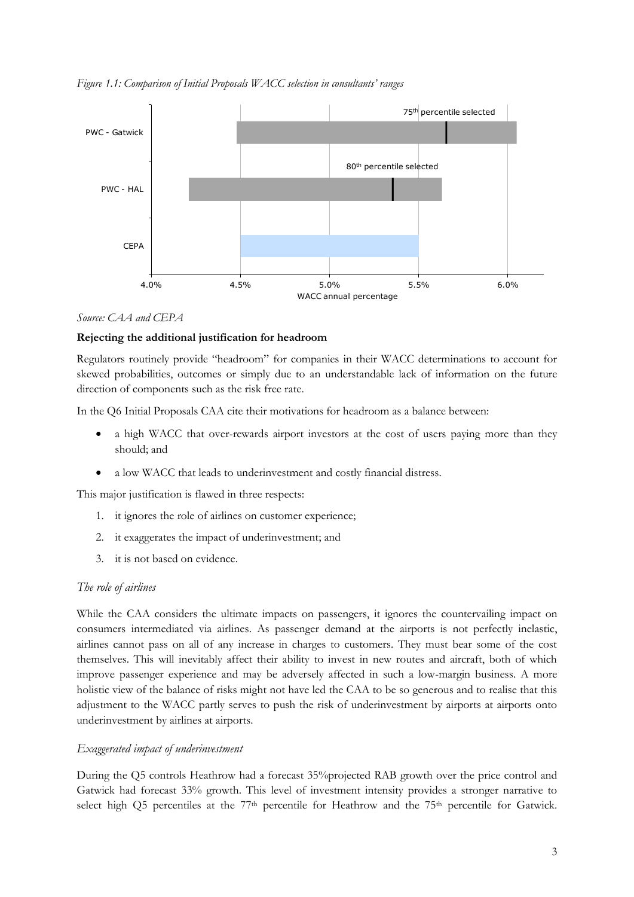*Figure 1.1: Comparison of Initial Proposals WACC selection in consultants' ranges*



#### *Source: CAA and CEPA*

#### **Rejecting the additional justification for headroom**

Regulators routinely provide "headroom" for companies in their WACC determinations to account for skewed probabilities, outcomes or simply due to an understandable lack of information on the future direction of components such as the risk free rate.

In the Q6 Initial Proposals CAA cite their motivations for headroom as a balance between:

- a high WACC that over-rewards airport investors at the cost of users paying more than they should; and
- a low WACC that leads to underinvestment and costly financial distress.

This major justification is flawed in three respects:

- 1. it ignores the role of airlines on customer experience;
- 2. it exaggerates the impact of underinvestment; and
- 3. it is not based on evidence.

#### *The role of airlines*

While the CAA considers the ultimate impacts on passengers, it ignores the countervailing impact on consumers intermediated via airlines. As passenger demand at the airports is not perfectly inelastic, airlines cannot pass on all of any increase in charges to customers. They must bear some of the cost themselves. This will inevitably affect their ability to invest in new routes and aircraft, both of which improve passenger experience and may be adversely affected in such a low-margin business. A more holistic view of the balance of risks might not have led the CAA to be so generous and to realise that this adjustment to the WACC partly serves to push the risk of underinvestment by airports at airports onto underinvestment by airlines at airports.

#### *Exaggerated impact of underinvestment*

During the Q5 controls Heathrow had a forecast 35%projected RAB growth over the price control and Gatwick had forecast 33% growth. This level of investment intensity provides a stronger narrative to select high Q5 percentiles at the 77<sup>th</sup> percentile for Heathrow and the 75<sup>th</sup> percentile for Gatwick.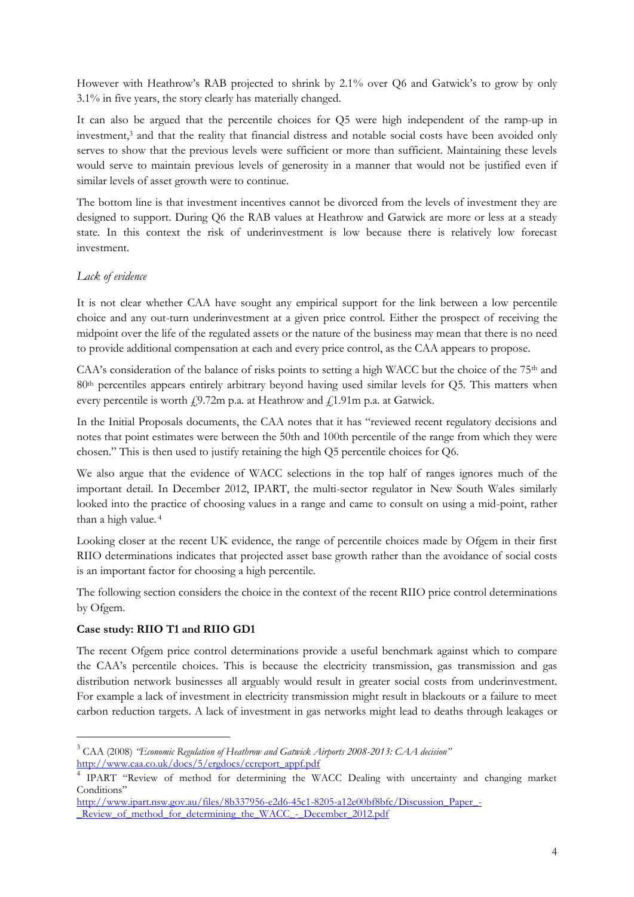However with Heathrow's RAB projected to shrink by 2.1% over Q6 and Gatwick's to grow by only 3.1% in five years, the story clearly has materially changed.

It can also be argued that the percentile choices for Q5 were high independent of the ramp-up in investment, <sup>3</sup> and that the reality that financial distress and notable social costs have been avoided only serves to show that the previous levels were sufficient or more than sufficient. Maintaining these levels would serve to maintain previous levels of generosity in a manner that would not be justified even if similar levels of asset growth were to continue.

The bottom line is that investment incentives cannot be divorced from the levels of investment they are designed to support. During Q6 the RAB values at Heathrow and Gatwick are more or less at a steady state. In this context the risk of underinvestment is low because there is relatively low forecast investment.

### *Lack of evidence*

It is not clear whether CAA have sought any empirical support for the link between a low percentile choice and any out-turn underinvestment at a given price control. Either the prospect of receiving the midpoint over the life of the regulated assets or the nature of the business may mean that there is no need to provide additional compensation at each and every price control, as the CAA appears to propose.

CAA's consideration of the balance of risks points to setting a high WACC but the choice of the  $75<sup>th</sup>$  and 80th percentiles appears entirely arbitrary beyond having used similar levels for Q5. This matters when every percentile is worth  $f_2$ 9.72m p.a. at Heathrow and  $f_1$ 1.91m p.a. at Gatwick.

In the Initial Proposals documents, the CAA notes that it has "reviewed recent regulatory decisions and notes that point estimates were between the 50th and 100th percentile of the range from which they were chosen." This is then used to justify retaining the high Q5 percentile choices for Q6.

We also argue that the evidence of WACC selections in the top half of ranges ignores much of the important detail. In December 2012, IPART, the multi-sector regulator in New South Wales similarly looked into the practice of choosing values in a range and came to consult on using a mid-point, rather than a high value. <sup>4</sup>

Looking closer at the recent UK evidence, the range of percentile choices made by Ofgem in their first RIIO determinations indicates that projected asset base growth rather than the avoidance of social costs is an important factor for choosing a high percentile.

The following section considers the choice in the context of the recent RIIO price control determinations by Ofgem.

#### **Case study: RIIO T1 and RIIO GD1**

<u>.</u>

The recent Ofgem price control determinations provide a useful benchmark against which to compare the CAA's percentile choices. This is because the electricity transmission, gas transmission and gas distribution network businesses all arguably would result in greater social costs from underinvestment. For example a lack of investment in electricity transmission might result in blackouts or a failure to meet carbon reduction targets. A lack of investment in gas networks might lead to deaths through leakages or

<sup>3</sup> CAA (2008) *"Economic Regulation of Heathrow and Gatwick Airports 2008-2013: CAA decision"* [http://www.caa.co.uk/docs/5/ergdocs/ccreport\\_appf.pdf](http://www.caa.co.uk/docs/5/ergdocs/ccreport_appf.pdf)

<sup>&</sup>lt;sup>4</sup> IPART "Review of method for determining the WACC Dealing with uncertainty and changing market Conditions"

[http://www.ipart.nsw.gov.au/files/8b337956-e2d6-45c1-8205-a12e00bf8bfc/Discussion\\_Paper\\_-](http://www.ipart.nsw.gov.au/files/8b337956-e2d6-45c1-8205-a12e00bf8bfc/Discussion_Paper_-_Review_of_method_for_determining_the_WACC_-_December_2012.pdf) Review of method for determining the WACC - December 2012.pdf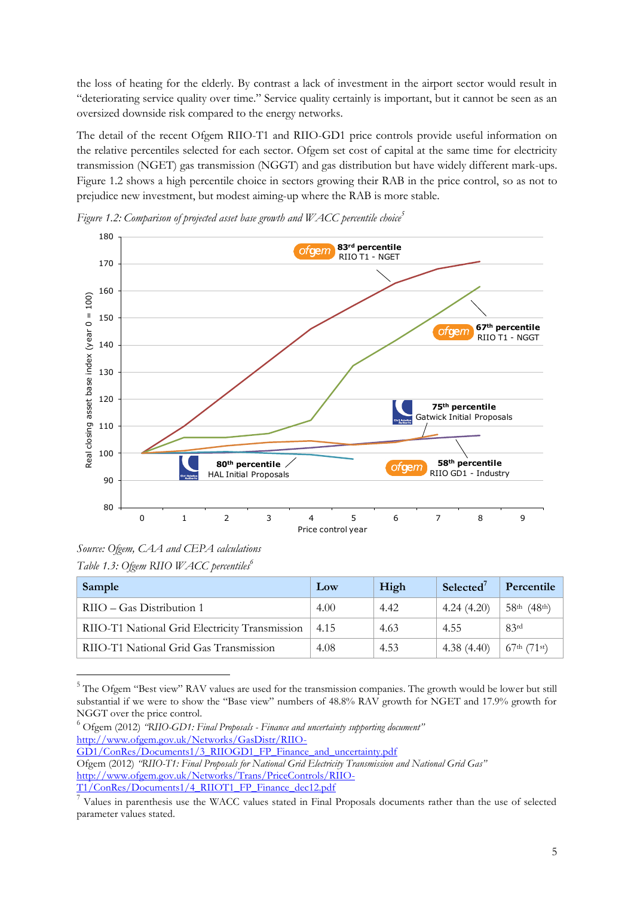the loss of heating for the elderly. By contrast a lack of investment in the airport sector would result in "deteriorating service quality over time." Service quality certainly is important, but it cannot be seen as an oversized downside risk compared to the energy networks.

The detail of the recent Ofgem RIIO-T1 and RIIO-GD1 price controls provide useful information on the relative percentiles selected for each sector. Ofgem set cost of capital at the same time for electricity transmission (NGET) gas transmission (NGGT) and gas distribution but have widely different mark-ups. Figure 1.2 shows a high percentile choice in sectors growing their RAB in the price control, so as not to prejudice new investment, but modest aiming-up where the RAB is more stable.



*Figure 1.2: Comparison of projected asset base growth and WACC percentile choice<sup>5</sup>*

-

| Sample                                         | Low  | High | Selected <sup>7</sup> | Percentile                 |
|------------------------------------------------|------|------|-----------------------|----------------------------|
| $RIIO - Gas Distribution 1$                    | 4.00 | 4.42 | 4.24(4.20)            | $58th$ (48 <sup>th</sup> ) |
| RIIO-T1 National Grid Electricity Transmission | 4.15 | 4.63 | 4.55                  | 83 <sup>rd</sup>           |
| RIIO-T1 National Grid Gas Transmission         | 4.08 | 4.53 | 4.38(4.40)            | $67^{\text{th}}$ (71st)    |

<sup>&</sup>lt;sup>5</sup> The Ofgem "Best view" RAV values are used for the transmission companies. The growth would be lower but still substantial if we were to show the "Base view" numbers of 48.8% RAV growth for NGET and 17.9% growth for NGGT over the price control.

<sup>6</sup> Ofgem (2012) *"RIIO-GD1: Final Proposals - Finance and uncertainty supporting document"* [http://www.ofgem.gov.uk/Networks/GasDistr/RIIO-](http://www.ofgem.gov.uk/Networks/GasDistr/RIIO-GD1/ConRes/Documents1/3_RIIOGD1_FP_Finance_and_uncertainty.pdf)[GD1/ConRes/Documents1/3\\_RIIOGD1\\_FP\\_Finance\\_and\\_uncertainty.pdf](http://www.ofgem.gov.uk/Networks/GasDistr/RIIO-GD1/ConRes/Documents1/3_RIIOGD1_FP_Finance_and_uncertainty.pdf) Ofgem (2012) *"RIIO-T1: Final Proposals for National Grid Electricity Transmission and National Grid Gas"* [http://www.ofgem.gov.uk/Networks/Trans/PriceControls/RIIO-](http://www.ofgem.gov.uk/Networks/Trans/PriceControls/RIIO-T1/ConRes/Documents1/4_RIIOT1_FP_Finance_dec12.pdf)

*Source: Ofgem, CAA and CEPA calculations Table 1.3: Ofgem RIIO WACC percentiles<sup>6</sup>*

[T1/ConRes/Documents1/4\\_RIIOT1\\_FP\\_Finance\\_dec12.pdf](http://www.ofgem.gov.uk/Networks/Trans/PriceControls/RIIO-T1/ConRes/Documents1/4_RIIOT1_FP_Finance_dec12.pdf)

<sup>7</sup> Values in parenthesis use the WACC values stated in Final Proposals documents rather than the use of selected parameter values stated.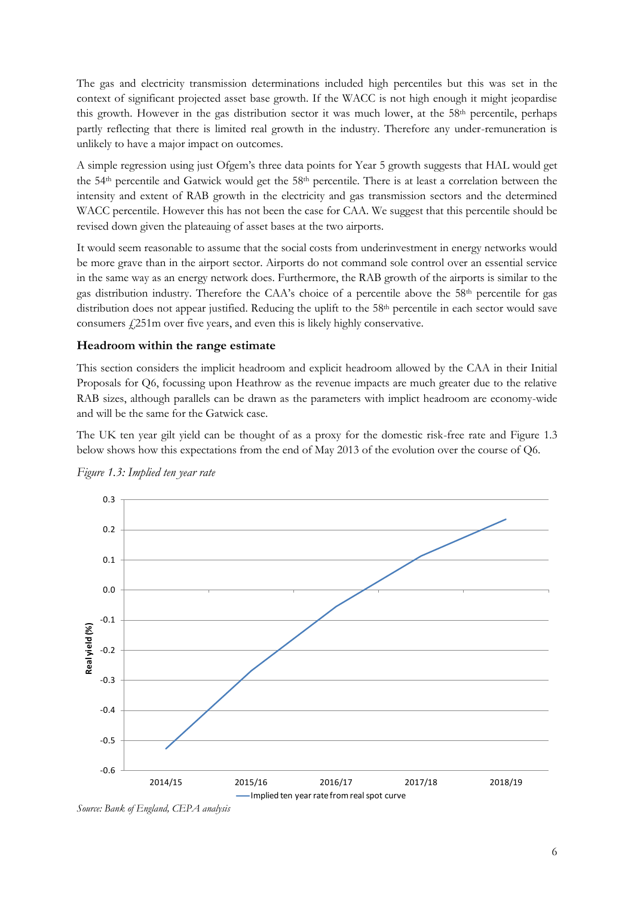The gas and electricity transmission determinations included high percentiles but this was set in the context of significant projected asset base growth. If the WACC is not high enough it might jeopardise this growth. However in the gas distribution sector it was much lower, at the 58th percentile, perhaps partly reflecting that there is limited real growth in the industry. Therefore any under-remuneration is unlikely to have a major impact on outcomes.

A simple regression using just Ofgem's three data points for Year 5 growth suggests that HAL would get the 54th percentile and Gatwick would get the 58th percentile. There is at least a correlation between the intensity and extent of RAB growth in the electricity and gas transmission sectors and the determined WACC percentile. However this has not been the case for CAA. We suggest that this percentile should be revised down given the plateauing of asset bases at the two airports.

It would seem reasonable to assume that the social costs from underinvestment in energy networks would be more grave than in the airport sector. Airports do not command sole control over an essential service in the same way as an energy network does. Furthermore, the RAB growth of the airports is similar to the gas distribution industry. Therefore the CAA's choice of a percentile above the 58th percentile for gas distribution does not appear justified. Reducing the uplift to the 58<sup>th</sup> percentile in each sector would save consumers £251m over five years, and even this is likely highly conservative.

## **Headroom within the range estimate**

This section considers the implicit headroom and explicit headroom allowed by the CAA in their Initial Proposals for Q6, focussing upon Heathrow as the revenue impacts are much greater due to the relative RAB sizes, although parallels can be drawn as the parameters with implict headroom are economy-wide and will be the same for the Gatwick case.

The UK ten year gilt yield can be thought of as a proxy for the domestic risk-free rate and Figure 1.3 below shows how this expectations from the end of May 2013 of the evolution over the course of Q6.



*Figure 1.3: Implied ten year rate*

*Source: Bank of England, CEPA analysis*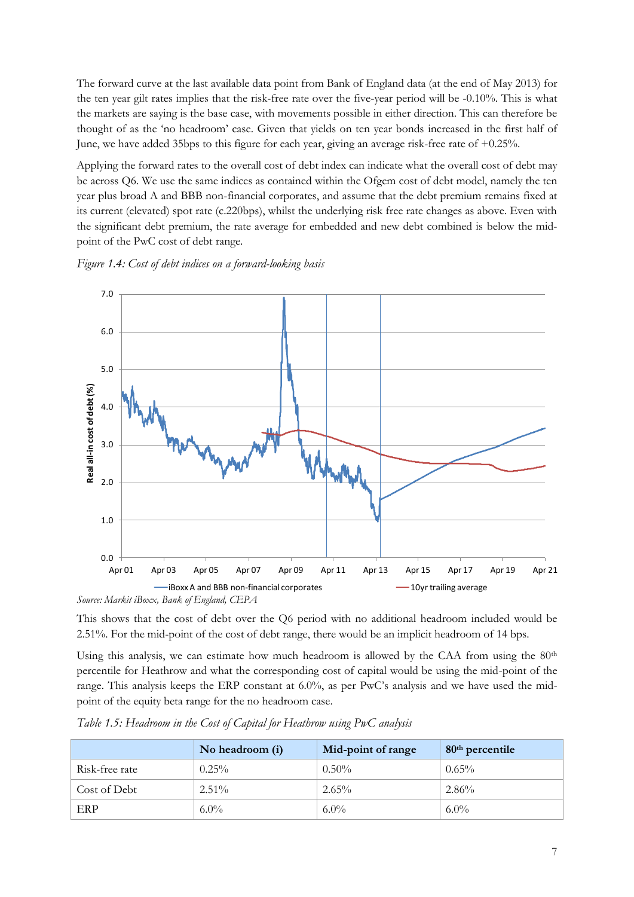The forward curve at the last available data point from Bank of England data (at the end of May 2013) for the ten year gilt rates implies that the risk-free rate over the five-year period will be -0.10%. This is what the markets are saying is the base case, with movements possible in either direction. This can therefore be thought of as the 'no headroom' case. Given that yields on ten year bonds increased in the first half of June, we have added 35bps to this figure for each year, giving an average risk-free rate of +0.25%.

Applying the forward rates to the overall cost of debt index can indicate what the overall cost of debt may be across Q6. We use the same indices as contained within the Ofgem cost of debt model, namely the ten year plus broad A and BBB non-financial corporates, and assume that the debt premium remains fixed at its current (elevated) spot rate (c.220bps), whilst the underlying risk free rate changes as above. Even with the significant debt premium, the rate average for embedded and new debt combined is below the midpoint of the PwC cost of debt range.

## *Figure 1.4: Cost of debt indices on a forward-looking basis*



This shows that the cost of debt over the Q6 period with no additional headroom included would be 2.51%. For the mid-point of the cost of debt range, there would be an implicit headroom of 14 bps.

Using this analysis, we can estimate how much headroom is allowed by the CAA from using the  $80<sup>th</sup>$ percentile for Heathrow and what the corresponding cost of capital would be using the mid-point of the range. This analysis keeps the ERP constant at 6.0%, as per PwC's analysis and we have used the midpoint of the equity beta range for the no headroom case.

|                | No headroom (i) | Mid-point of range | $80th$ percentile |
|----------------|-----------------|--------------------|-------------------|
| Risk-free rate | $0.25\%$        | $0.50\%$           | $0.65\%$          |
| Cost of Debt   | $2.51\%$        | $2.65\%$           | $2.86\%$          |
| ERP            | $6.0\%$         | $6.0\%$            | $6.0\%$           |

*Table 1.5: Headroom in the Cost of Capital for Heathrow using PwC analysis*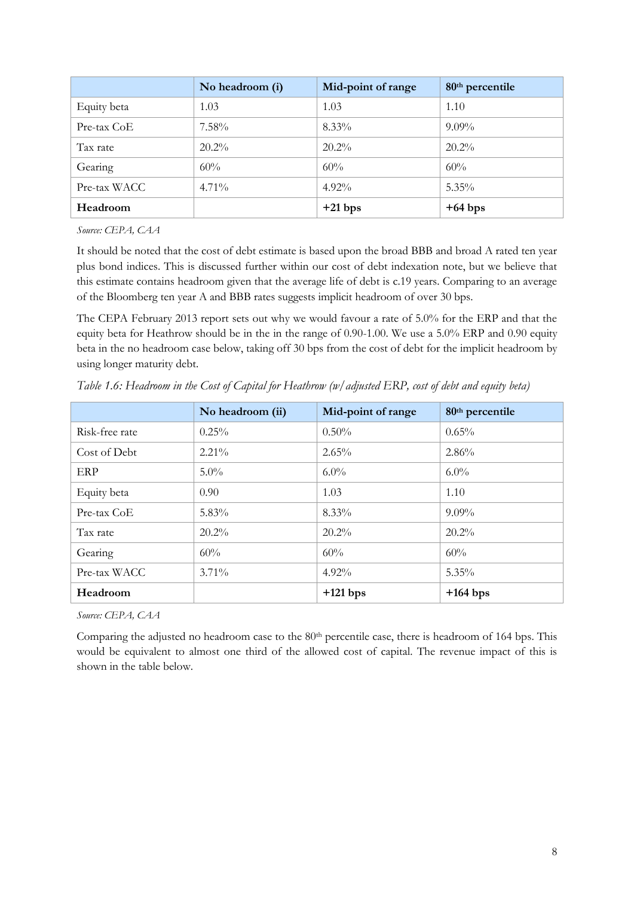|              | No headroom (i) | Mid-point of range | 80 <sup>th</sup> percentile |
|--------------|-----------------|--------------------|-----------------------------|
| Equity beta  | 1.03            | 1.03               | 1.10                        |
| Pre-tax CoE  | $7.58\%$        | $8.33\%$           | $9.09\%$                    |
| Tax rate     | $20.2\%$        | $20.2\%$           | $20.2\%$                    |
| Gearing      | 60%             | 60%                | 60%                         |
| Pre-tax WACC | $4.71\%$        | $4.92\%$           | $5.35\%$                    |
| Headroom     |                 | $+21$ bps          | $+64$ bps                   |

*Source: CEPA, CAA*

It should be noted that the cost of debt estimate is based upon the broad BBB and broad A rated ten year plus bond indices. This is discussed further within our cost of debt indexation note, but we believe that this estimate contains headroom given that the average life of debt is c.19 years. Comparing to an average of the Bloomberg ten year A and BBB rates suggests implicit headroom of over 30 bps.

The CEPA February 2013 report sets out why we would favour a rate of 5.0% for the ERP and that the equity beta for Heathrow should be in the in the range of 0.90-1.00. We use a 5.0% ERP and 0.90 equity beta in the no headroom case below, taking off 30 bps from the cost of debt for the implicit headroom by using longer maturity debt.

|                | No headroom (ii) | Mid-point of range | 80 <sup>th</sup> percentile |
|----------------|------------------|--------------------|-----------------------------|
| Risk-free rate | $0.25\%$         | $0.50\%$           | $0.65\%$                    |
| Cost of Debt   | $2.21\%$         | 2.65%              | 2.86%                       |
| ERP            | $5.0\%$          | $6.0\%$            | $6.0\%$                     |
| Equity beta    | 0.90             | 1.03               | 1.10                        |
| Pre-tax CoE    | $5.83\%$         | 8.33%              | $9.09\%$                    |
| Tax rate       | $20.2\%$         | $20.2\%$           | $20.2\%$                    |
| Gearing        | 60%              | 60%                | 60%                         |
| Pre-tax WACC   | $3.71\%$         | $4.92\%$           | $5.35\%$                    |
| Headroom       |                  | $+121$ bps         | $+164$ bps                  |

*Table 1.6: Headroom in the Cost of Capital for Heathrow (w/adjusted ERP, cost of debt and equity beta)*

*Source: CEPA, CAA*

Comparing the adjusted no headroom case to the 80<sup>th</sup> percentile case, there is headroom of 164 bps. This would be equivalent to almost one third of the allowed cost of capital. The revenue impact of this is shown in the table below.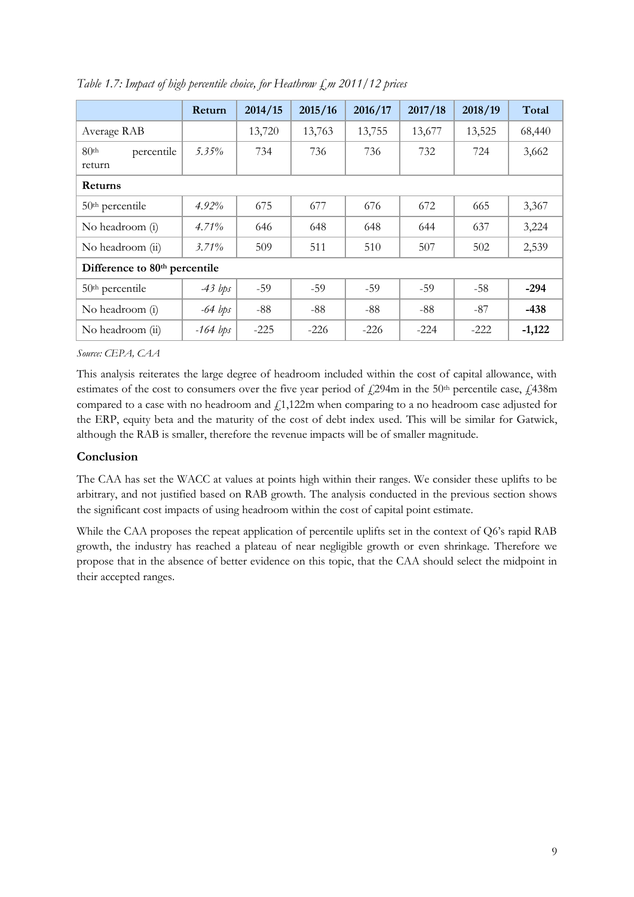|                                           | Return     | 2014/15 | 2015/16 | 2016/17 | 2017/18 | 2018/19 | Total    |
|-------------------------------------------|------------|---------|---------|---------|---------|---------|----------|
| Average RAB                               |            | 13,720  | 13,763  | 13,755  | 13,677  | 13,525  | 68,440   |
| 80 <sup>th</sup><br>percentile<br>return  | 5.35%      | 734     | 736     | 736     | 732     | 724     | 3,662    |
| <b>Returns</b>                            |            |         |         |         |         |         |          |
| 50 <sup>th</sup> percentile               | $4.92\%$   | 675     | 677     | 676     | 672     | 665     | 3,367    |
| No headroom (i)                           | 4.71%      | 646     | 648     | 648     | 644     | 637     | 3,224    |
| No headroom (ii)                          | $3.71\%$   | 509     | 511     | 510     | 507     | 502     | 2,539    |
| Difference to 80 <sup>th</sup> percentile |            |         |         |         |         |         |          |
| $50th$ percentile                         | $-43$ bps  | $-59$   | $-59$   | $-59$   | $-59$   | $-58$   | $-294$   |
| No headroom (i)                           | $-64$ bps  | $-88$   | $-88$   | $-88$   | $-88$   | $-87$   | $-438$   |
| No headroom (ii)                          | $-164$ bps | $-225$  | $-226$  | $-226$  | $-224$  | $-222$  | $-1,122$ |

*Table 1.7: Impact of high percentile choice, for Heathrow £m 2011/12 prices*

*Source: CEPA, CAA*

This analysis reiterates the large degree of headroom included within the cost of capital allowance, with estimates of the cost to consumers over the five year period of  $\angle 294$ m in the 50<sup>th</sup> percentile case,  $\angle 438$ m compared to a case with no headroom and  $f(1,122m)$  when comparing to a no headroom case adjusted for the ERP, equity beta and the maturity of the cost of debt index used. This will be similar for Gatwick, although the RAB is smaller, therefore the revenue impacts will be of smaller magnitude.

## **Conclusion**

The CAA has set the WACC at values at points high within their ranges. We consider these uplifts to be arbitrary, and not justified based on RAB growth. The analysis conducted in the previous section shows the significant cost impacts of using headroom within the cost of capital point estimate.

While the CAA proposes the repeat application of percentile uplifts set in the context of Q6's rapid RAB growth, the industry has reached a plateau of near negligible growth or even shrinkage. Therefore we propose that in the absence of better evidence on this topic, that the CAA should select the midpoint in their accepted ranges.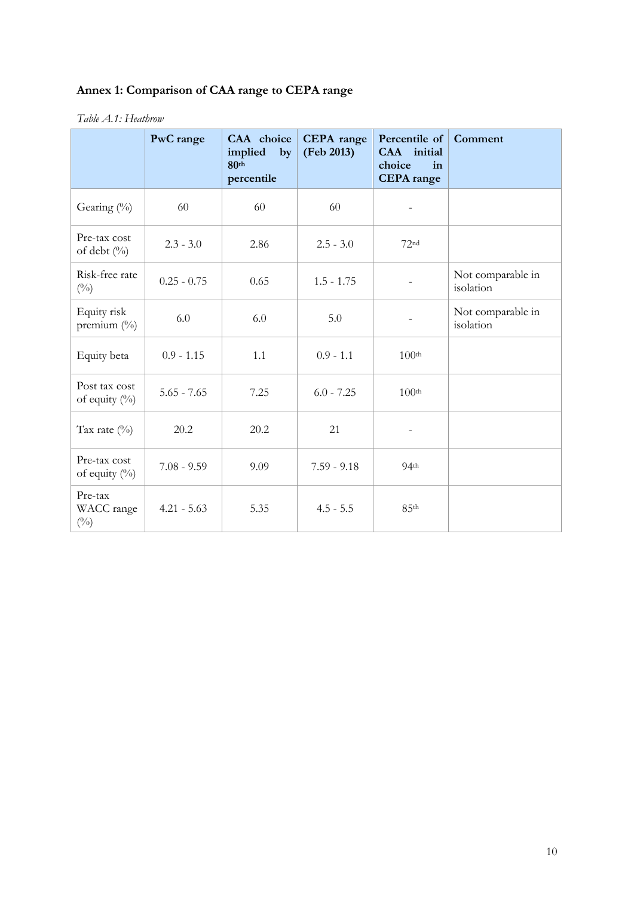# **Annex 1: Comparison of CAA range to CEPA range**

#### *Table A.1: Heathrow*

|                                        | PwC range     | CAA choice<br>implied<br>by<br>80 <sup>th</sup><br>percentile | <b>CEPA</b> range<br>(Feb 2013) | Percentile of<br>CAA initial<br>choice<br>in<br><b>CEPA</b> range | Comment                        |
|----------------------------------------|---------------|---------------------------------------------------------------|---------------------------------|-------------------------------------------------------------------|--------------------------------|
| Gearing (%)                            | 60            | 60                                                            | 60                              |                                                                   |                                |
| Pre-tax cost<br>of debt (%)            | $2.3 - 3.0$   | 2.86                                                          | $2.5 - 3.0$                     | 72 <sup>nd</sup>                                                  |                                |
| Risk-free rate<br>$(^{0}_{0})$         | $0.25 - 0.75$ | 0.65                                                          | $1.5 - 1.75$                    |                                                                   | Not comparable in<br>isolation |
| Equity risk<br>premium (%)             | 6.0           | 6.0                                                           | 5.0                             |                                                                   | Not comparable in<br>isolation |
| Equity beta                            | $0.9 - 1.15$  | 1.1                                                           | $0.9 - 1.1$                     | 100 <sup>th</sup>                                                 |                                |
| Post tax cost<br>of equity $(\%)$      | $5.65 - 7.65$ | 7.25                                                          | $6.0 - 7.25$                    | 100 <sup>th</sup>                                                 |                                |
| Tax rate $(\%)$                        | 20.2          | 20.2                                                          | 21                              |                                                                   |                                |
| Pre-tax cost<br>of equity (%)          | $7.08 - 9.59$ | 9.09                                                          | $7.59 - 9.18$                   | 94 <sup>th</sup>                                                  |                                |
| Pre-tax<br>WACC range<br>$(^{0}/_{0})$ | $4.21 - 5.63$ | 5.35                                                          | $4.5 - 5.5$                     | 85 <sup>th</sup>                                                  |                                |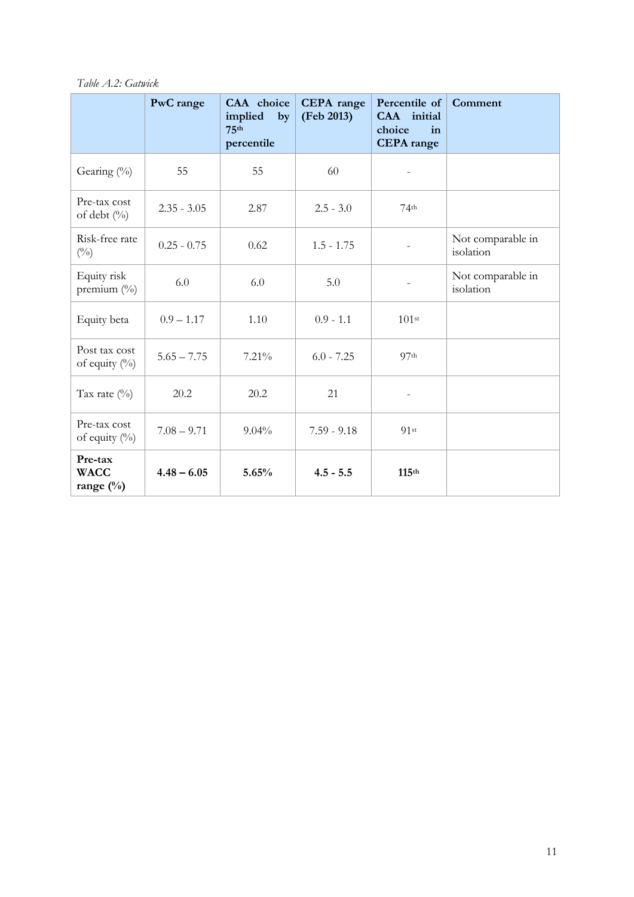*Table A.2: Gatwick*

|                                     | PwC range     | CAA choice<br>implied<br>by<br>75 <sup>th</sup><br>percentile | <b>CEPA</b> range<br>(Feb 2013) | Percentile of<br>CAA initial<br>choice<br>in<br><b>CEPA</b> range | Comment                        |
|-------------------------------------|---------------|---------------------------------------------------------------|---------------------------------|-------------------------------------------------------------------|--------------------------------|
| Gearing (%)                         | 55            | 55                                                            | 60                              |                                                                   |                                |
| Pre-tax cost<br>of debt (%)         | $2.35 - 3.05$ | 2.87                                                          | $2.5 - 3.0$                     | 74 <sup>th</sup>                                                  |                                |
| Risk-free rate<br>$(^{0}/_{0})$     | $0.25 - 0.75$ | 0.62                                                          | $1.5 - 1.75$                    |                                                                   | Not comparable in<br>isolation |
| Equity risk<br>premium $(\%)$       | 6.0           | 6.0                                                           | 5.0                             |                                                                   | Not comparable in<br>isolation |
| Equity beta                         | $0.9 - 1.17$  | 1.10                                                          | $0.9 - 1.1$                     | 101 <sup>st</sup>                                                 |                                |
| Post tax cost<br>of equity $(\%)$   | $5.65 - 7.75$ | 7.21%                                                         | $6.0 - 7.25$                    | 97 <sup>th</sup>                                                  |                                |
| Tax rate $(\%)$                     | 20.2          | 20.2                                                          | 21                              |                                                                   |                                |
| Pre-tax cost<br>of equity $(\%)$    | $7.08 - 9.71$ | 9.04%                                                         | $7.59 - 9.18$                   | 91st                                                              |                                |
| Pre-tax<br><b>WACC</b><br>range (%) | $4.48 - 6.05$ | 5.65%                                                         | $4.5 - 5.5$                     | 115 <sup>th</sup>                                                 |                                |